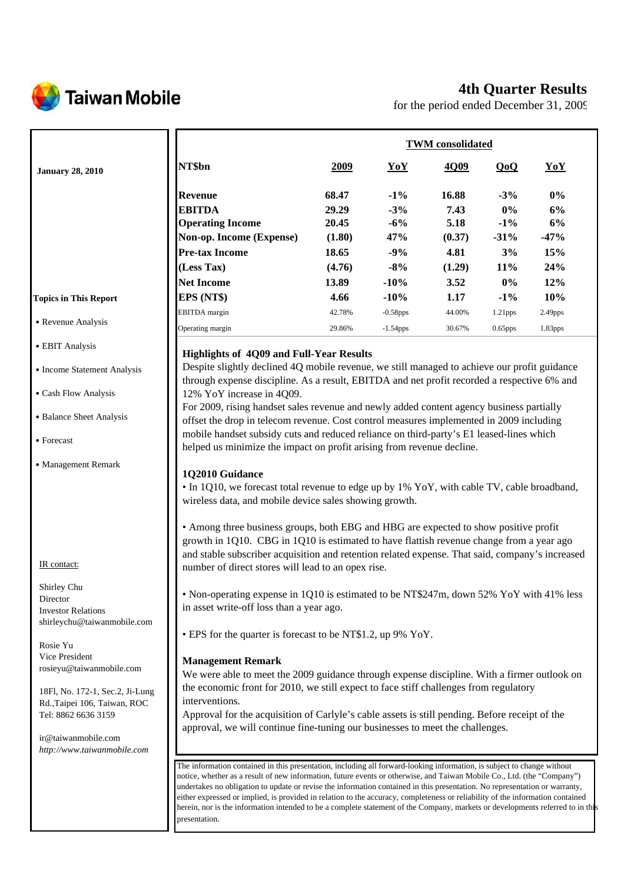

# **4th Quarter Results**

for the period ended December 31, 2009

|                                                     |                                                                                                                                                                                                                                                                                                                                                                                                                                                                                                                                                                                                                                                       | <b>TWM</b> consolidated |             |             |         |                     |
|-----------------------------------------------------|-------------------------------------------------------------------------------------------------------------------------------------------------------------------------------------------------------------------------------------------------------------------------------------------------------------------------------------------------------------------------------------------------------------------------------------------------------------------------------------------------------------------------------------------------------------------------------------------------------------------------------------------------------|-------------------------|-------------|-------------|---------|---------------------|
| <b>January 28, 2010</b>                             | NT\$bn                                                                                                                                                                                                                                                                                                                                                                                                                                                                                                                                                                                                                                                | <u>2009</u>             | YoY         | <u>4Q09</u> | QoQ     | YoY                 |
|                                                     | <b>Revenue</b>                                                                                                                                                                                                                                                                                                                                                                                                                                                                                                                                                                                                                                        | 68.47                   | $-1\%$      | 16.88       | $-3\%$  | 0%                  |
|                                                     | <b>EBITDA</b>                                                                                                                                                                                                                                                                                                                                                                                                                                                                                                                                                                                                                                         | 29.29                   | $-3%$       | 7.43        | $0\%$   | 6%                  |
|                                                     | <b>Operating Income</b>                                                                                                                                                                                                                                                                                                                                                                                                                                                                                                                                                                                                                               | 20.45                   | $-6%$       | 5.18        | $-1\%$  | 6%                  |
|                                                     | Non-op. Income (Expense)                                                                                                                                                                                                                                                                                                                                                                                                                                                                                                                                                                                                                              | (1.80)                  | 47%         | (0.37)      | $-31%$  | $-47%$              |
|                                                     | <b>Pre-tax Income</b>                                                                                                                                                                                                                                                                                                                                                                                                                                                                                                                                                                                                                                 | 18.65                   | $-9%$       | 4.81        | 3%      | 15%                 |
|                                                     | (Less Tax)                                                                                                                                                                                                                                                                                                                                                                                                                                                                                                                                                                                                                                            | (4.76)                  | $-8%$       | (1.29)      | 11%     | 24%                 |
|                                                     | <b>Net Income</b>                                                                                                                                                                                                                                                                                                                                                                                                                                                                                                                                                                                                                                     | 13.89                   | $-10%$      | 3.52        | $0\%$   | 12%                 |
| <b>Topics in This Report</b>                        | EPS (NT\$)                                                                                                                                                                                                                                                                                                                                                                                                                                                                                                                                                                                                                                            | 4.66                    | $-10%$      | 1.17        | $-1\%$  | 10%                 |
|                                                     | <b>EBITDA</b> margin                                                                                                                                                                                                                                                                                                                                                                                                                                                                                                                                                                                                                                  | 42.78%                  | $-0.58$ pps | 44.00%      | 1.21pps | 2.49 <sub>pps</sub> |
| • Revenue Analysis                                  | Operating margin                                                                                                                                                                                                                                                                                                                                                                                                                                                                                                                                                                                                                                      | 29.86%                  | $-1.54$ pps | 30.67%      | 0.65pps | 1.83pps             |
|                                                     |                                                                                                                                                                                                                                                                                                                                                                                                                                                                                                                                                                                                                                                       |                         |             |             |         |                     |
| • EBIT Analysis                                     | <b>Highlights of 4Q09 and Full-Year Results</b>                                                                                                                                                                                                                                                                                                                                                                                                                                                                                                                                                                                                       |                         |             |             |         |                     |
| • Income Statement Analysis                         | Despite slightly declined 4Q mobile revenue, we still managed to achieve our profit guidance                                                                                                                                                                                                                                                                                                                                                                                                                                                                                                                                                          |                         |             |             |         |                     |
|                                                     | through expense discipline. As a result, EBITDA and net profit recorded a respective 6% and                                                                                                                                                                                                                                                                                                                                                                                                                                                                                                                                                           |                         |             |             |         |                     |
| • Cash Flow Analysis                                | 12% YoY increase in 4Q09.                                                                                                                                                                                                                                                                                                                                                                                                                                                                                                                                                                                                                             |                         |             |             |         |                     |
| • Balance Sheet Analysis                            | For 2009, rising handset sales revenue and newly added content agency business partially                                                                                                                                                                                                                                                                                                                                                                                                                                                                                                                                                              |                         |             |             |         |                     |
|                                                     | offset the drop in telecom revenue. Cost control measures implemented in 2009 including<br>mobile handset subsidy cuts and reduced reliance on third-party's E1 leased-lines which                                                                                                                                                                                                                                                                                                                                                                                                                                                                    |                         |             |             |         |                     |
| • Forecast                                          | helped us minimize the impact on profit arising from revenue decline.                                                                                                                                                                                                                                                                                                                                                                                                                                                                                                                                                                                 |                         |             |             |         |                     |
|                                                     |                                                                                                                                                                                                                                                                                                                                                                                                                                                                                                                                                                                                                                                       |                         |             |             |         |                     |
| • Management Remark                                 | 1Q2010 Guidance                                                                                                                                                                                                                                                                                                                                                                                                                                                                                                                                                                                                                                       |                         |             |             |         |                     |
|                                                     | • In 1Q10, we forecast total revenue to edge up by 1% YoY, with cable TV, cable broadband,                                                                                                                                                                                                                                                                                                                                                                                                                                                                                                                                                            |                         |             |             |         |                     |
|                                                     | wireless data, and mobile device sales showing growth.                                                                                                                                                                                                                                                                                                                                                                                                                                                                                                                                                                                                |                         |             |             |         |                     |
|                                                     |                                                                                                                                                                                                                                                                                                                                                                                                                                                                                                                                                                                                                                                       |                         |             |             |         |                     |
|                                                     | • Among three business groups, both EBG and HBG are expected to show positive profit                                                                                                                                                                                                                                                                                                                                                                                                                                                                                                                                                                  |                         |             |             |         |                     |
|                                                     | growth in 1Q10. CBG in 1Q10 is estimated to have flattish revenue change from a year ago                                                                                                                                                                                                                                                                                                                                                                                                                                                                                                                                                              |                         |             |             |         |                     |
| IR contact:                                         | and stable subscriber acquisition and retention related expense. That said, company's increased<br>number of direct stores will lead to an opex rise.                                                                                                                                                                                                                                                                                                                                                                                                                                                                                                 |                         |             |             |         |                     |
|                                                     |                                                                                                                                                                                                                                                                                                                                                                                                                                                                                                                                                                                                                                                       |                         |             |             |         |                     |
| Shirley Chu                                         | • Non-operating expense in 1Q10 is estimated to be NT\$247m, down 52% YoY with 41% less                                                                                                                                                                                                                                                                                                                                                                                                                                                                                                                                                               |                         |             |             |         |                     |
| Director<br><b>Investor Relations</b>               | in asset write-off loss than a year ago.                                                                                                                                                                                                                                                                                                                                                                                                                                                                                                                                                                                                              |                         |             |             |         |                     |
| shirleychu@taiwanmobile.com                         |                                                                                                                                                                                                                                                                                                                                                                                                                                                                                                                                                                                                                                                       |                         |             |             |         |                     |
|                                                     | • EPS for the quarter is forecast to be NT\$1.2, up 9% YoY.                                                                                                                                                                                                                                                                                                                                                                                                                                                                                                                                                                                           |                         |             |             |         |                     |
| Rosie Yu                                            |                                                                                                                                                                                                                                                                                                                                                                                                                                                                                                                                                                                                                                                       |                         |             |             |         |                     |
| Vice President<br>rosieyu@taiwanmobile.com          | <b>Management Remark</b>                                                                                                                                                                                                                                                                                                                                                                                                                                                                                                                                                                                                                              |                         |             |             |         |                     |
|                                                     | We were able to meet the 2009 guidance through expense discipline. With a firmer outlook on                                                                                                                                                                                                                                                                                                                                                                                                                                                                                                                                                           |                         |             |             |         |                     |
| 18Fl, No. 172-1, Sec.2, Ji-Lung                     | the economic front for 2010, we still expect to face stiff challenges from regulatory                                                                                                                                                                                                                                                                                                                                                                                                                                                                                                                                                                 |                         |             |             |         |                     |
| Rd., Taipei 106, Taiwan, ROC<br>Tel: 8862 6636 3159 | interventions.<br>Approval for the acquisition of Carlyle's cable assets is still pending. Before receipt of the                                                                                                                                                                                                                                                                                                                                                                                                                                                                                                                                      |                         |             |             |         |                     |
|                                                     | approval, we will continue fine-tuning our businesses to meet the challenges.                                                                                                                                                                                                                                                                                                                                                                                                                                                                                                                                                                         |                         |             |             |         |                     |
| ir@taiwanmobile.com                                 |                                                                                                                                                                                                                                                                                                                                                                                                                                                                                                                                                                                                                                                       |                         |             |             |         |                     |
| http://www.taiwanmobile.com                         |                                                                                                                                                                                                                                                                                                                                                                                                                                                                                                                                                                                                                                                       |                         |             |             |         |                     |
|                                                     | The information contained in this presentation, including all forward-looking information, is subject to change without<br>notice, whether as a result of new information, future events or otherwise, and Taiwan Mobile Co., Ltd. (the "Company")<br>undertakes no obligation to update or revise the information contained in this presentation. No representation or warranty,<br>either expressed or implied, is provided in relation to the accuracy, completeness or reliability of the information contained<br>herein, nor is the information intended to be a complete statement of the Company, markets or developments referred to in this |                         |             |             |         |                     |

presentation.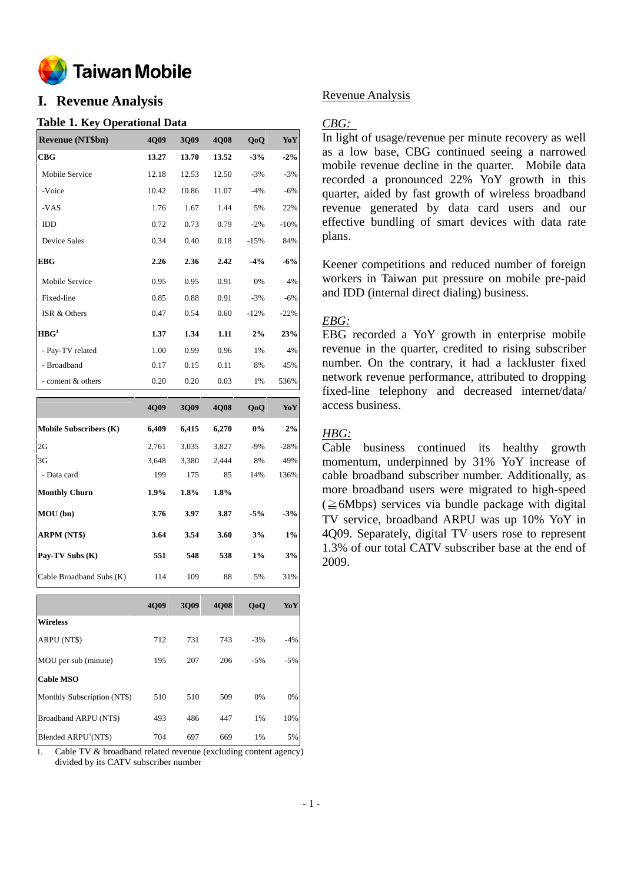

## **I. Revenue Analysis**

## **Table 1. Key Operational Data**

| <b>Revenue (NT\$bn)</b> | 4Q09  | 3Q09  | 4Q08  | Q <sub>o</sub> Q | YoY    |
|-------------------------|-------|-------|-------|------------------|--------|
| CBG                     | 13.27 | 13.70 | 13.52 | $-3%$            | $-2\%$ |
| Mobile Service          | 12.18 | 12.53 | 12.50 | $-3%$            | $-3%$  |
| -Voice                  | 10.42 | 10.86 | 11.07 | $-4%$            | $-6%$  |
| -VAS                    | 1.76  | 1.67  | 1.44  | 5%               | 22%    |
| IDD                     | 0.72  | 0.73  | 0.79  | $-2\%$           | $-10%$ |
| <b>Device Sales</b>     | 0.34  | 0.40  | 0.18  | $-15%$           | 84%    |
| <b>EBG</b>              | 2.26  | 2.36  | 2.42  | $-4\%$           | $-6%$  |
| Mobile Service          | 0.95  | 0.95  | 0.91  | 0%               | 4%     |
| Fixed-line              | 0.85  | 0.88  | 0.91  | $-3%$            | $-6%$  |
| ISR & Others            | 0.47  | 0.54  | 0.60  | $-12%$           | $-22%$ |
| HBG <sup>1</sup>        | 1.37  | 1.34  | 1.11  | 2%               | 23%    |
| - Pay-TV related        | 1.00  | 0.99  | 0.96  | 1%               | 4%     |
| - Broadband             | 0.17  | 0.15  | 0.11  | 8%               | 45%    |
| - content & others      | 0.20  | 0.20  | 0.03  | $1\%$            | 536%   |

|                               | 4Q09  | 3Q09  | 4Q08  | QoQ   | YoY    |
|-------------------------------|-------|-------|-------|-------|--------|
| <b>Mobile Subscribers (K)</b> | 6,409 | 6,415 | 6,270 | $0\%$ | 2%     |
| 2G                            | 2,761 | 3,035 | 3,827 | $-9%$ | $-28%$ |
| 3G                            | 3,648 | 3,380 | 2,444 | 8%    | 49%    |
| - Data card                   | 199   | 175   | 85    | 14%   | 136%   |
| <b>Monthly Churn</b>          | 1.9%  | 1.8%  | 1.8%  |       |        |
| MOU(bn)                       | 3.76  | 3.97  | 3.87  | $-5%$ | $-3%$  |
| ARPM (NT\$)                   | 3.64  | 3.54  | 3.60  | 3%    | 1%     |
| Pay-TV Subs (K)               | 551   | 548   | 538   | $1\%$ | 3%     |
| Cable Broadband Subs (K)      | 114   | 109   | 88    | 5%    | 31%    |
|                               |       |       |       |       |        |

|                                  | 4Q09 | 3Q09 | <b>4Q08</b> | QoQ   | YoY   |
|----------------------------------|------|------|-------------|-------|-------|
| <b>Wireless</b>                  |      |      |             |       |       |
| <b>ARPU (NTS)</b>                | 712  | 731  | 743         | $-3%$ | $-4%$ |
| MOU per sub (minute)             | 195  | 207  | 206         | $-5%$ | $-5%$ |
| <b>Cable MSO</b>                 |      |      |             |       |       |
| Monthly Subscription (NT\$)      | 510  | 510  | 509         | 0%    | 0%    |
| Broadband ARPU (NT\$)            | 493  | 486  | 447         | 1%    | 10%   |
| Blended ARPU <sup>1</sup> (NT\$) | 704  | 697  | 669         | 1%    | 5%    |

1. Cable TV & broadband related revenue (excluding content agency) divided by its CATV subscriber number

## Revenue Analysis

### *CBG:*

In light of usage/revenue per minute recovery as well as a low base, CBG continued seeing a narrowed mobile revenue decline in the quarter. Mobile data recorded a pronounced 22% YoY growth in this quarter, aided by fast growth of wireless broadband revenue generated by data card users and our effective bundling of smart devices with data rate plans.

Keener competitions and reduced number of foreign workers in Taiwan put pressure on mobile pre-paid and IDD (internal direct dialing) business.

## *EBG:*

EBG recorded a YoY growth in enterprise mobile revenue in the quarter, credited to rising subscriber number. On the contrary, it had a lackluster fixed network revenue performance, attributed to dropping fixed-line telephony and decreased internet/data/ access business.

## *HBG:*

Cable business continued its healthy growth momentum, underpinned by 31% YoY increase of cable broadband subscriber number. Additionally, as more broadband users were migrated to high-speed  $(\geq 6$ Mbps) services via bundle package with digital TV service, broadband ARPU was up 10% YoY in 4Q09. Separately, digital TV users rose to represent 1.3% of our total CATV subscriber base at the end of 2009.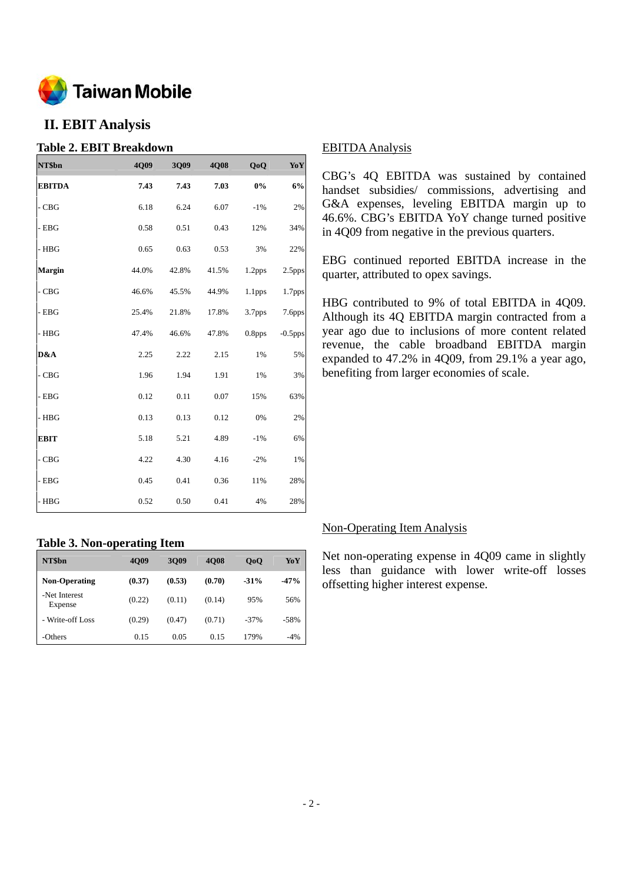

## **II. EBIT Analysis**

## **Table 2. EBIT Breakdown**

| NT\$bn        | 4Q09  | 3Q09  | 4Q08  | QoQ                | YoY        |
|---------------|-------|-------|-------|--------------------|------------|
| <b>EBITDA</b> | 7.43  | 7.43  | 7.03  | $0\%$              | 6%         |
| $-CBG$        | 6.18  | 6.24  | 6.07  | $-1%$              | 2%         |
| - EBG         | 0.58  | 0.51  | 0.43  | 12%                | 34%        |
| $-$ HBG       | 0.65  | 0.63  | 0.53  | 3%                 | 22%        |
| <b>Margin</b> | 44.0% | 42.8% | 41.5% | 1.2pps             | 2.5pps     |
| $-CBG$        | 46.6% | 45.5% | 44.9% | 1.1 <sub>pps</sub> | 1.7pps     |
| - EBG         | 25.4% | 21.8% | 17.8% | 3.7pps             | 7.6pps     |
| - HBG         | 47.4% | 46.6% | 47.8% | 0.8 <sub>pps</sub> | $-0.5$ pps |
| D&A           | 2.25  | 2.22  | 2.15  | 1%                 | 5%         |
| $-CBG$        | 1.96  | 1.94  | 1.91  | 1%                 | 3%         |
| $-$ EBG       | 0.12  | 0.11  | 0.07  | 15%                | 63%        |
| - HBG         | 0.13  | 0.13  | 0.12  | 0%                 | 2%         |
| <b>EBIT</b>   | 5.18  | 5.21  | 4.89  | $-1%$              | 6%         |
| - CBG         | 4.22  | 4.30  | 4.16  | $-2%$              | 1%         |
| $-$ EBG       | 0.45  | 0.41  | 0.36  | 11%                | 28%        |
| $-$ HBG       | 0.52  | 0.50  | 0.41  | 4%                 | 28%        |

## **Table 3. Non-operating Item**

| NT\$bn                   | . .<br><b>4009</b> | 3009   | <b>4008</b> | 0 <sub>0</sub> | YoY    |
|--------------------------|--------------------|--------|-------------|----------------|--------|
| <b>Non-Operating</b>     | (0.37)             | (0.53) | (0.70)      | $-31%$         | $-47%$ |
| -Net Interest<br>Expense | (0.22)             | (0.11) | (0.14)      | 95%            | 56%    |
| - Write-off Loss         | (0.29)             | (0.47) | (0.71)      | $-37\%$        | $-58%$ |
| -Others                  | 0.15               | 0.05   | 0.15        | 179%           | $-4%$  |

## EBITDA Analysis

CBG's 4Q EBITDA was sustained by contained handset subsidies/ commissions, advertising and G&A expenses, leveling EBITDA margin up to 46.6%. CBG's EBITDA YoY change turned positive in 4Q09 from negative in the previous quarters.

EBG continued reported EBITDA increase in the quarter, attributed to opex savings.

HBG contributed to 9% of total EBITDA in 4Q09. Although its 4Q EBITDA margin contracted from a year ago due to inclusions of more content related revenue, the cable broadband EBITDA margin expanded to 47.2% in 4Q09, from 29.1% a year ago, benefiting from larger economies of scale.

## Non-Operating Item Analysis

Net non-operating expense in 4Q09 came in slightly less than guidance with lower write-off losses offsetting higher interest expense.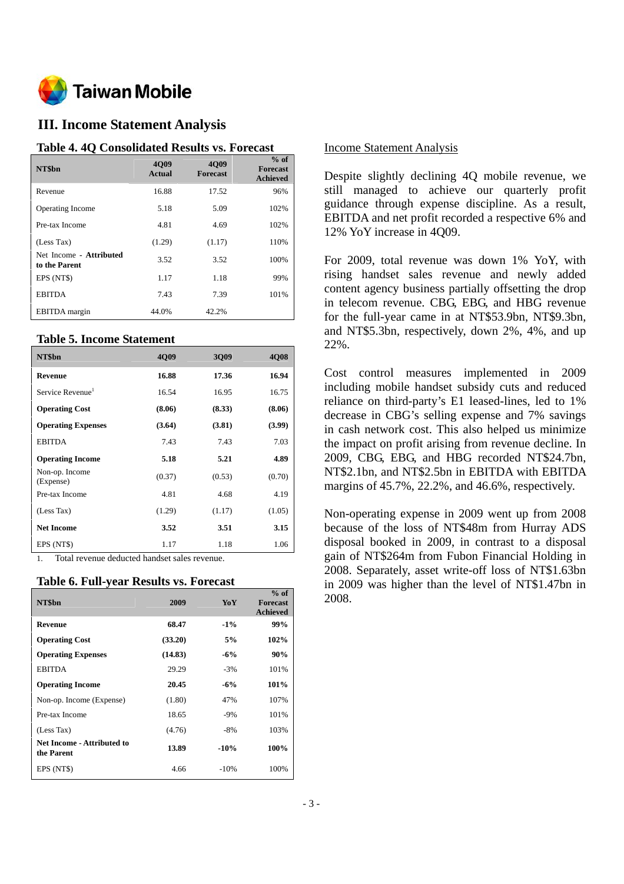

## **III. Income Statement Analysis**

#### **Table 4. 4Q Consolidated Results vs. Forecast**

| NT\$bn                                   | <b>4009</b><br>Actual | <b>4009</b><br><b>Forecast</b> | $%$ of<br><b>Forecast</b><br><b>Achieved</b> |
|------------------------------------------|-----------------------|--------------------------------|----------------------------------------------|
| Revenue                                  | 16.88                 | 17.52                          | 96%                                          |
| <b>Operating Income</b>                  | 5.18                  | 5.09                           | 102%                                         |
| Pre-tax Income                           | 4.81                  | 4.69                           | 102%                                         |
| (Less Tax)                               | (1.29)                | (1.17)                         | 110%                                         |
| Net Income - Attributed<br>to the Parent | 3.52                  | 3.52                           | 100%                                         |
| EPS (NT\$)                               | 1.17                  | 1.18                           | 99%                                          |
| <b>EBITDA</b>                            | 7.43                  | 7.39                           | 101%                                         |
| <b>EBITDA</b> margin                     | 44.0%                 | 42.2%                          |                                              |

#### **Table 5. Income Statement**

| NT\$bn                       | <b>4009</b> | 3009   | <b>4008</b> |
|------------------------------|-------------|--------|-------------|
| <b>Revenue</b>               | 16.88       | 17.36  | 16.94       |
| Service Revenue <sup>1</sup> | 16.54       | 16.95  | 16.75       |
| <b>Operating Cost</b>        | (8.06)      | (8.33) | (8.06)      |
| <b>Operating Expenses</b>    | (3.64)      | (3.81) | (3.99)      |
| <b>EBITDA</b>                | 7.43        | 7.43   | 7.03        |
| <b>Operating Income</b>      | 5.18        | 5.21   | 4.89        |
| Non-op. Income<br>(Expense)  | (0.37)      | (0.53) | (0.70)      |
| Pre-tax Income               | 4.81        | 4.68   | 4.19        |
| (Less Tax)                   | (1.29)      | (1.17) | (1.05)      |
| <b>Net Income</b>            | 3.52        | 3.51   | 3.15        |
| EPS (NT\$)                   | 1.17        | 1.18   | 1.06        |

1. Total revenue deducted handset sales revenue.

#### **Table 6. Full-year Results vs. Forecast**

| NT\$bn                                          | 2009    | YoY    | $%$ of<br><b>Forecast</b><br><b>Achieved</b> |
|-------------------------------------------------|---------|--------|----------------------------------------------|
| <b>Revenue</b>                                  | 68.47   | $-1\%$ | 99%                                          |
| <b>Operating Cost</b>                           | (33.20) | 5%     | 102%                                         |
| <b>Operating Expenses</b>                       | (14.83) | $-6\%$ | 90%                                          |
| <b>EBITDA</b>                                   | 29.29   | $-3%$  | 101%                                         |
| <b>Operating Income</b>                         | 20.45   | $-6\%$ | 101%                                         |
| Non-op. Income (Expense)                        | (1.80)  | 47%    | 107%                                         |
| Pre-tax Income                                  | 18.65   | $-9%$  | 101%                                         |
| (Less Tax)                                      | (4.76)  | $-8%$  | 103%                                         |
| <b>Net Income - Attributed to</b><br>the Parent | 13.89   | $-10%$ | 100%                                         |
| EPS (NT\$)                                      | 4.66    | $-10%$ | 100%                                         |

#### Income Statement Analysis

Despite slightly declining 4Q mobile revenue, we still managed to achieve our quarterly profit guidance through expense discipline. As a result, EBITDA and net profit recorded a respective 6% and 12% YoY increase in 4Q09.

For 2009, total revenue was down 1% YoY, with rising handset sales revenue and newly added content agency business partially offsetting the drop in telecom revenue. CBG, EBG, and HBG revenue for the full-year came in at NT\$53.9bn, NT\$9.3bn, and NT\$5.3bn, respectively, down 2%, 4%, and up 22%.

Cost control measures implemented in 2009 including mobile handset subsidy cuts and reduced reliance on third-party's E1 leased-lines, led to 1% decrease in CBG's selling expense and 7% savings in cash network cost. This also helped us minimize the impact on profit arising from revenue decline. In 2009, CBG, EBG, and HBG recorded NT\$24.7bn, NT\$2.1bn, and NT\$2.5bn in EBITDA with EBITDA margins of 45.7%, 22.2%, and 46.6%, respectively.

Non-operating expense in 2009 went up from 2008 because of the loss of NT\$48m from Hurray ADS disposal booked in 2009, in contrast to a disposal gain of NT\$264m from Fubon Financial Holding in 2008. Separately, asset write-off loss of NT\$1.63bn in 2009 was higher than the level of NT\$1.47bn in 2008.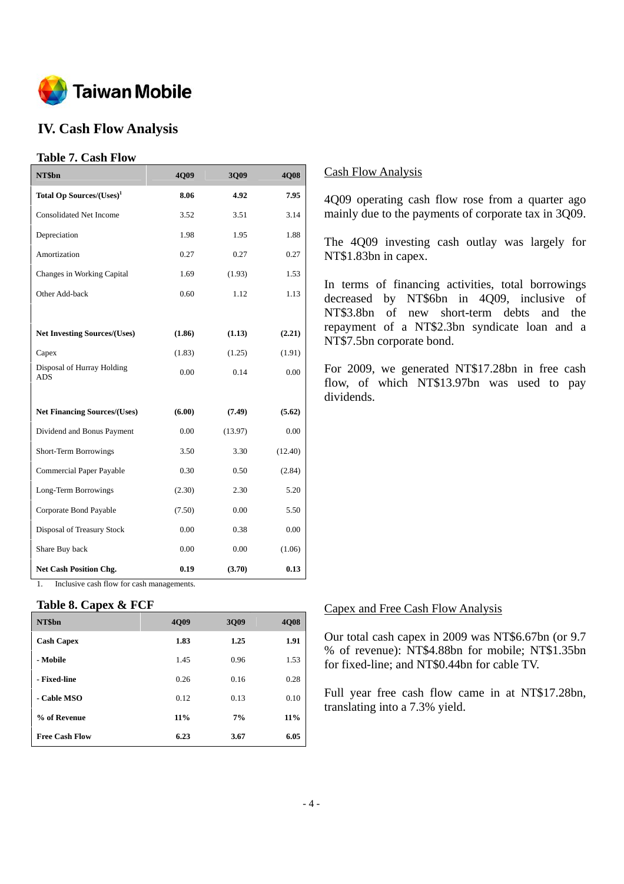

## **IV. Cash Flow Analysis**

## **Table 7. Cash Flow**

| NT\$bn                                   | 4Q09   | 3Q09    | 4Q08    |
|------------------------------------------|--------|---------|---------|
| Total Op Sources/(Uses) <sup>1</sup>     | 8.06   | 4.92    | 7.95    |
| <b>Consolidated Net Income</b>           | 3.52   | 3.51    | 3.14    |
| Depreciation                             | 1.98   | 1.95    | 1.88    |
| Amortization                             | 0.27   | 0.27    | 0.27    |
| Changes in Working Capital               | 1.69   | (1.93)  | 1.53    |
| Other Add-back                           | 0.60   | 1.12    | 1.13    |
|                                          |        |         |         |
| <b>Net Investing Sources/(Uses)</b>      | (1.86) | (1.13)  | (2.21)  |
| Capex                                    | (1.83) | (1.25)  | (1.91)  |
| Disposal of Hurray Holding<br><b>ADS</b> | 0.00   | 0.14    | 0.00    |
|                                          |        |         |         |
| <b>Net Financing Sources/(Uses)</b>      | (6.00) | (7.49)  | (5.62)  |
| Dividend and Bonus Payment               | 0.00   | (13.97) | 0.00    |
| <b>Short-Term Borrowings</b>             | 3.50   | 3.30    | (12.40) |
| Commercial Paper Payable                 | 0.30   | 0.50    | (2.84)  |
| Long-Term Borrowings                     | (2.30) | 2.30    | 5.20    |
| Corporate Bond Payable                   | (7.50) | 0.00    | 5.50    |
| <b>Disposal of Treasury Stock</b>        | 0.00   | 0.38    | 0.00    |
| Share Buy back                           | 0.00   | 0.00    | (1.06)  |
| <b>Net Cash Position Chg.</b>            | 0.19   | (3.70)  | 0.13    |

1. Inclusive cash flow for cash managements.

#### **Table 8. Capex & FCF**

| NT\$bn                | 4009   | 3009 | <b>4008</b> |
|-----------------------|--------|------|-------------|
| <b>Cash Capex</b>     | 1.83   | 1.25 | 1.91        |
| - Mobile              | 1.45   | 0.96 | 1.53        |
| - Fixed-line          | 0.26   | 0.16 | 0.28        |
| - Cable MSO           | 0.12   | 0.13 | 0.10        |
| % of Revenue          | $11\%$ | 7%   | 11%         |
| <b>Free Cash Flow</b> | 6.23   | 3.67 | 6.05        |

## Cash Flow Analysis

4Q09 operating cash flow rose from a quarter ago mainly due to the payments of corporate tax in 3Q09.

The 4Q09 investing cash outlay was largely for NT\$1.83bn in capex.

In terms of financing activities, total borrowings decreased by NT\$6bn in 4Q09, inclusive of NT\$3.8bn of new short-term debts and the repayment of a NT\$2.3bn syndicate loan and a NT\$7.5bn corporate bond.

For 2009, we generated NT\$17.28bn in free cash flow, of which NT\$13.97bn was used to pay dividends.

#### Capex and Free Cash Flow Analysis

Our total cash capex in 2009 was NT\$6.67bn (or 9.7 % of revenue): NT\$4.88bn for mobile; NT\$1.35bn for fixed-line; and NT\$0.44bn for cable TV.

Full year free cash flow came in at NT\$17.28bn, translating into a 7.3% yield.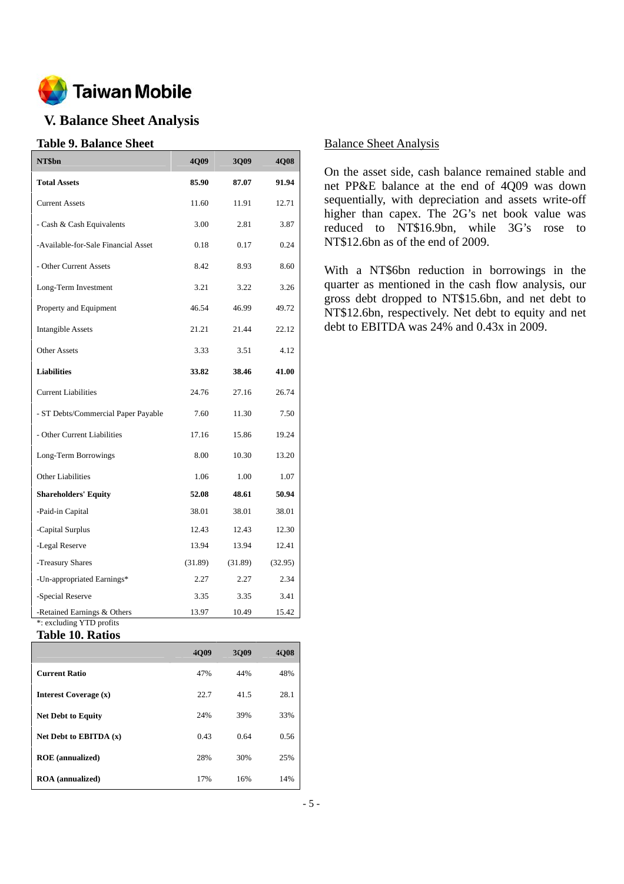

## **V. Balance Sheet Analysis**

## **Table 9. Balance Sheet**

| NT\$bn                                                  | 4Q09    | 3Q09    | 4Q08    |
|---------------------------------------------------------|---------|---------|---------|
| <b>Total Assets</b>                                     | 85.90   | 87.07   | 91.94   |
| <b>Current Assets</b>                                   | 11.60   | 11.91   | 12.71   |
| - Cash & Cash Equivalents                               | 3.00    | 2.81    | 3.87    |
| -Available-for-Sale Financial Asset                     | 0.18    | 0.17    | 0.24    |
| - Other Current Assets                                  | 8.42    | 8.93    | 8.60    |
| Long-Term Investment                                    | 3.21    | 3.22    | 3.26    |
| Property and Equipment                                  | 46.54   | 46.99   | 49.72   |
| <b>Intangible Assets</b>                                | 21.21   | 21.44   | 22.12   |
| <b>Other Assets</b>                                     | 3.33    | 3.51    | 4.12    |
| <b>Liabilities</b>                                      | 33.82   | 38.46   | 41.00   |
| <b>Current Liabilities</b>                              | 24.76   | 27.16   | 26.74   |
| - ST Debts/Commercial Paper Payable                     | 7.60    | 11.30   | 7.50    |
| - Other Current Liabilities                             | 17.16   | 15.86   | 19.24   |
| Long-Term Borrowings                                    | 8.00    | 10.30   | 13.20   |
| <b>Other Liabilities</b>                                | 1.06    | 1.00    | 1.07    |
| <b>Shareholders' Equity</b>                             | 52.08   | 48.61   | 50.94   |
| -Paid-in Capital                                        | 38.01   | 38.01   | 38.01   |
| -Capital Surplus                                        | 12.43   | 12.43   | 12.30   |
| -Legal Reserve                                          | 13.94   | 13.94   | 12.41   |
| -Treasury Shares                                        | (31.89) | (31.89) | (32.95) |
| -Un-appropriated Earnings*                              | 2.27    | 2.27    | 2.34    |
| -Special Reserve                                        | 3.35    | 3.35    | 3.41    |
| -Retained Earnings & Others<br>*: excluding YTD profits | 13.97   | 10.49   | 15.42   |

#### **Table 10. Ratios**

|                           | 4Q09 | 3Q09 | 4Q08 |
|---------------------------|------|------|------|
| <b>Current Ratio</b>      | 47%  | 44%  | 48%  |
| Interest Coverage (x)     | 22.7 | 41.5 | 28.1 |
| <b>Net Debt to Equity</b> | 24%  | 39%  | 33%  |
| Net Debt to EBITDA $(x)$  | 0.43 | 0.64 | 0.56 |
| <b>ROE</b> (annualized)   | 28%  | 30%  | 25%  |
| <b>ROA</b> (annualized)   | 17%  | 16%  | 14%  |

## Balance Sheet Analysis

On the asset side, cash balance remained stable and net PP&E balance at the end of 4Q09 was down sequentially, with depreciation and assets write-off higher than capex. The 2G's net book value was reduced to NT\$16.9bn, while 3G's rose to NT\$12.6bn as of the end of 2009.

With a NT\$6bn reduction in borrowings in the quarter as mentioned in the cash flow analysis, our gross debt dropped to NT\$15.6bn, and net debt to NT\$12.6bn, respectively. Net debt to equity and net debt to EBITDA was 24% and 0.43x in 2009.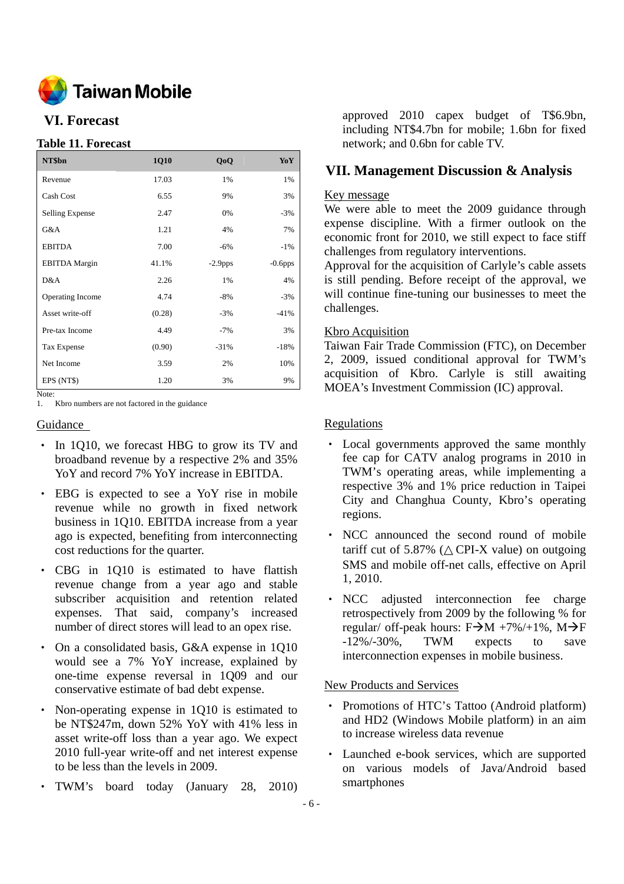

## **VI. Forecast**

## **Table 11. Forecast**

| NT\$bn               | 1Q10   | Q <sub>o</sub> Q | YoY        |
|----------------------|--------|------------------|------------|
| Revenue              | 17.03  | 1%               | 1%         |
| Cash Cost            | 6.55   | 9%               | 3%         |
| Selling Expense      | 2.47   | 0%               | $-3%$      |
| G&A                  | 1.21   | 4%               | 7%         |
| <b>EBITDA</b>        | 7.00   | $-6%$            | $-1\%$     |
| <b>EBITDA</b> Margin | 41.1%  | $-2.9$ pps       | $-0.6$ pps |
| D&A                  | 2.26   | 1%               | 4%         |
| Operating Income     | 4.74   | $-8%$            | $-3%$      |
| Asset write-off      | (0.28) | $-3%$            | $-41%$     |
| Pre-tax Income       | 4.49   | $-7%$            | 3%         |
| Tax Expense          | (0.90) | $-31%$           | $-18%$     |
| Net Income           | 3.59   | 2%               | 10%        |
| EPS (NT\$)           | 1.20   | 3%               | 9%         |

Note:

1. Kbro numbers are not factored in the guidance

#### Guidance

- In 1Q10, we forecast HBG to grow its TV and broadband revenue by a respective 2% and 35% YoY and record 7% YoY increase in EBITDA.
- ‧ EBG is expected to see a YoY rise in mobile revenue while no growth in fixed network business in 1Q10. EBITDA increase from a year ago is expected, benefiting from interconnecting cost reductions for the quarter.
- ‧ CBG in 1Q10 is estimated to have flattish revenue change from a year ago and stable subscriber acquisition and retention related expenses. That said, company's increased number of direct stores will lead to an opex rise.
- On a consolidated basis, G&A expense in 1Q10 would see a 7% YoY increase, explained by one-time expense reversal in 1Q09 and our conservative estimate of bad debt expense.
- Non-operating expense in 1Q10 is estimated to be NT\$247m, down 52% YoY with 41% less in asset write-off loss than a year ago. We expect 2010 full-year write-off and net interest expense to be less than the levels in 2009.
- ‧ TWM's board today (January 28, 2010)

approved 2010 capex budget of T\$6.9bn, including NT\$4.7bn for mobile; 1.6bn for fixed network; and 0.6bn for cable TV.

## **VII. Management Discussion & Analysis**

## Key message

We were able to meet the 2009 guidance through expense discipline. With a firmer outlook on the economic front for 2010, we still expect to face stiff challenges from regulatory interventions.

Approval for the acquisition of Carlyle's cable assets is still pending. Before receipt of the approval, we will continue fine-tuning our businesses to meet the challenges.

#### Kbro Acquisition

Taiwan Fair Trade Commission (FTC), on December 2, 2009, issued conditional approval for TWM's acquisition of Kbro. Carlyle is still awaiting MOEA's Investment Commission (IC) approval.

#### **Regulations**

- ‧ Local governments approved the same monthly fee cap for CATV analog programs in 2010 in TWM's operating areas, while implementing a respective 3% and 1% price reduction in Taipei City and Changhua County, Kbro's operating regions.
- ‧ NCC announced the second round of mobile tariff cut of 5.87% ( CPI-X value) on outgoing SMS and mobile off-net calls, effective on April 1, 2010.
- ‧ NCC adjusted interconnection fee charge retrospectively from 2009 by the following % for regular/ off-peak hours:  $F\rightarrow M +7\% +1\%$ ,  $M\rightarrow F$ -12%/-30%, TWM expects to save interconnection expenses in mobile business.

#### New Products and Services

- Promotions of HTC's Tattoo (Android platform) and HD2 (Windows Mobile platform) in an aim to increase wireless data revenue
- ‧ Launched e-book services, which are supported on various models of Java/Android based smartphones